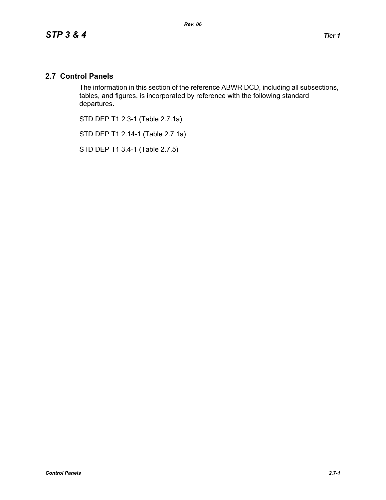## **2.7 Control Panels**

The information in this section of the reference ABWR DCD, including all subsections, tables, and figures, is incorporated by reference with the following standard departures.

STD DEP T1 2.3-1 (Table 2.7.1a)

STD DEP T1 2.14-1 (Table 2.7.1a)

STD DEP T1 3.4-1 (Table 2.7.5)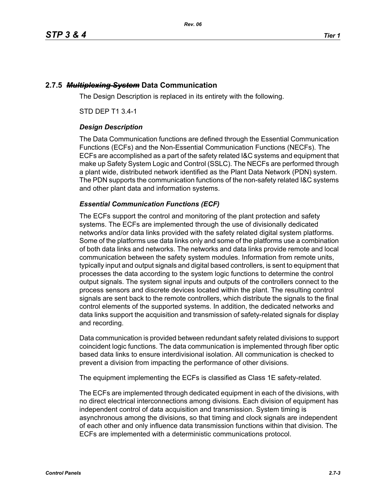# **2.7.5** *Multiplexing System* **Data Communication**

The Design Description is replaced in its entirety with the following.

STD DEP T1 3.4-1

## *Design Description*

The Data Communication functions are defined through the Essential Communication Functions (ECFs) and the Non-Essential Communication Functions (NECFs). The ECFs are accomplished as a part of the safety related I&C systems and equipment that make up Safety System Logic and Control (SSLC). The NECFs are performed through a plant wide, distributed network identified as the Plant Data Network (PDN) system. The PDN supports the communication functions of the non-safety related I&C systems and other plant data and information systems.

## *Essential Communication Functions (ECF)*

The ECFs support the control and monitoring of the plant protection and safety systems. The ECFs are implemented through the use of divisionally dedicated networks and/or data links provided with the safety related digital system platforms. Some of the platforms use data links only and some of the platforms use a combination of both data links and networks. The networks and data links provide remote and local communication between the safety system modules. Information from remote units, typically input and output signals and digital based controllers, is sent to equipment that processes the data according to the system logic functions to determine the control output signals. The system signal inputs and outputs of the controllers connect to the process sensors and discrete devices located within the plant. The resulting control signals are sent back to the remote controllers, which distribute the signals to the final control elements of the supported systems. In addition, the dedicated networks and data links support the acquisition and transmission of safety-related signals for display and recording.

Data communication is provided between redundant safety related divisions to support coincident logic functions. The data communication is implemented through fiber optic based data links to ensure interdivisional isolation. All communication is checked to prevent a division from impacting the performance of other divisions.

The equipment implementing the ECFs is classified as Class 1E safety-related.

The ECFs are implemented through dedicated equipment in each of the divisions, with no direct electrical interconnections among divisions. Each division of equipment has independent control of data acquisition and transmission. System timing is asynchronous among the divisions, so that timing and clock signals are independent of each other and only influence data transmission functions within that division. The ECFs are implemented with a deterministic communications protocol.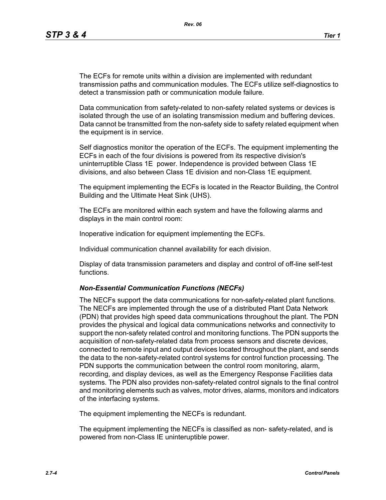The ECFs for remote units within a division are implemented with redundant transmission paths and communication modules. The ECFs utilize self-diagnostics to detect a transmission path or communication module failure.

Data communication from safety-related to non-safety related systems or devices is isolated through the use of an isolating transmission medium and buffering devices. Data cannot be transmitted from the non-safety side to safety related equipment when the equipment is in service.

Self diagnostics monitor the operation of the ECFs. The equipment implementing the ECFs in each of the four divisions is powered from its respective division's uninterruptible Class 1E power. Independence is provided between Class 1E divisions, and also between Class 1E division and non-Class 1E equipment.

The equipment implementing the ECFs is located in the Reactor Building, the Control Building and the Ultimate Heat Sink (UHS).

The ECFs are monitored within each system and have the following alarms and displays in the main control room:

Inoperative indication for equipment implementing the ECFs.

Individual communication channel availability for each division.

Display of data transmission parameters and display and control of off-line self-test functions.

### *Non-Essential Communication Functions (NECFs)*

The NECFs support the data communications for non-safety-related plant functions. The NECFs are implemented through the use of a distributed Plant Data Network (PDN) that provides high speed data communications throughout the plant. The PDN provides the physical and logical data communications networks and connectivity to support the non-safety related control and monitoring functions. The PDN supports the acquisition of non-safety-related data from process sensors and discrete devices, connected to remote input and output devices located throughout the plant, and sends the data to the non-safety-related control systems for control function processing. The PDN supports the communication between the control room monitoring, alarm, recording, and display devices, as well as the Emergency Response Facilities data systems. The PDN also provides non-safety-related control signals to the final control and monitoring elements such as valves, motor drives, alarms, monitors and indicators of the interfacing systems.

The equipment implementing the NECFs is redundant.

The equipment implementing the NECFs is classified as non- safety-related, and is powered from non-Class IE uninteruptible power.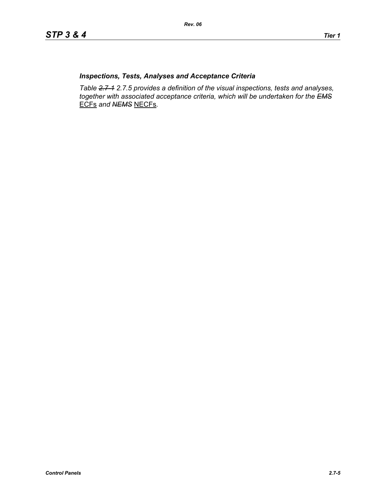## *Inspections, Tests, Analyses and Acceptance Criteria*

*Table 2.7-1 2.7.5 provides a definition of the visual inspections, tests and analyses, together with associated acceptance criteria, which will be undertaken for the EMS* ECFs *and NEMS* NECFs*.*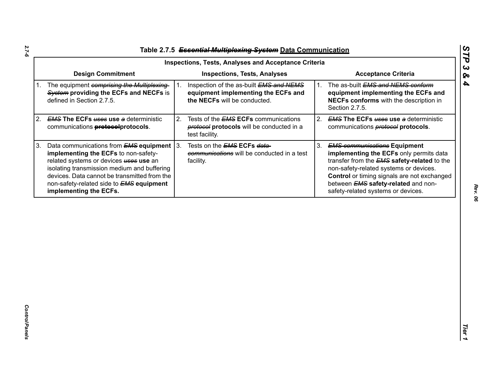| Table 2.7.5 Essential Multiplexing System Data Communication |  |
|--------------------------------------------------------------|--|

|             |                                                                                                                                                                                                                                                                                                               |    | <b>Inspections, Tests, Analyses and Acceptance Criteria</b>                                                    |    |                                                                                                                                                                                                                                                                                                                   |
|-------------|---------------------------------------------------------------------------------------------------------------------------------------------------------------------------------------------------------------------------------------------------------------------------------------------------------------|----|----------------------------------------------------------------------------------------------------------------|----|-------------------------------------------------------------------------------------------------------------------------------------------------------------------------------------------------------------------------------------------------------------------------------------------------------------------|
|             | <b>Design Commitment</b>                                                                                                                                                                                                                                                                                      |    | <b>Inspections, Tests, Analyses</b>                                                                            |    | <b>Acceptance Criteria</b>                                                                                                                                                                                                                                                                                        |
| $1_{\cdot}$ | The equipment comprising the Multiplexing-<br>System providing the ECFs and NECFs is<br>defined in Section 2.7.5.                                                                                                                                                                                             |    | Inspection of the as-built EMS and NEMS<br>equipment implementing the ECFs and<br>the NECFs will be conducted. | 1. | The as-built EMS and NEMS conform<br>equipment implementing the ECFs and<br>NECFs conforms with the description in<br>Section 2.7.5.                                                                                                                                                                              |
| 2.          | <b>EMS The ECFs uses use a deterministic</b><br>communications <b>protocolprotocols</b> .                                                                                                                                                                                                                     | 2. | Tests of the <b>EMS ECFs</b> communications<br>protocols will be conducted in a<br>test facility.              | 2. | <b>EMS The ECFs uses use a deterministic</b><br>communications <b>protocol</b> protocols.                                                                                                                                                                                                                         |
| 3.          | Data communications from $EMS$ equipment $ 3$ .<br>implementing the ECFs to non-safety-<br>related systems or devices uses use an<br>isolating transmission medium and buffering<br>devices. Data cannot be transmitted from the<br>non-safety-related side to <b>EMS equipment</b><br>implementing the ECFs. |    | Tests on the <b>EMS ECFs data-</b><br>communications will be conducted in a test<br>facility.                  | 3. | <b>EMS communications Equipment</b><br>implementing the ECFs only permits data<br>transfer from the <b>EMS</b> safety-related to the<br>non-safety-related systems or devices.<br>Control or timing signals are not exchanged<br>between <b>EMS</b> safety-related and non-<br>safety-related systems or devices. |
|             |                                                                                                                                                                                                                                                                                                               |    |                                                                                                                |    |                                                                                                                                                                                                                                                                                                                   |
|             |                                                                                                                                                                                                                                                                                                               |    |                                                                                                                |    |                                                                                                                                                                                                                                                                                                                   |

*STP 3 & 4*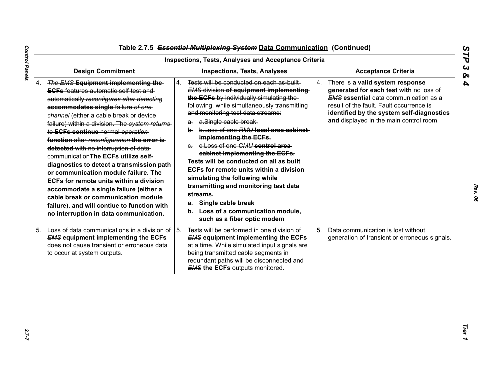|                                                                                                                                                                                                                                                                                                                                                                                                                                                                                                                                                                                                                                                                                                                                                            | <b>Inspections, Tests, Analyses and Acceptance Criteria</b>                                                                                                                                                                                                                                                                                                                                                                                                                                                                                                                                                                                                                             |                                                                                                                                                                                                                                                                       |
|------------------------------------------------------------------------------------------------------------------------------------------------------------------------------------------------------------------------------------------------------------------------------------------------------------------------------------------------------------------------------------------------------------------------------------------------------------------------------------------------------------------------------------------------------------------------------------------------------------------------------------------------------------------------------------------------------------------------------------------------------------|-----------------------------------------------------------------------------------------------------------------------------------------------------------------------------------------------------------------------------------------------------------------------------------------------------------------------------------------------------------------------------------------------------------------------------------------------------------------------------------------------------------------------------------------------------------------------------------------------------------------------------------------------------------------------------------------|-----------------------------------------------------------------------------------------------------------------------------------------------------------------------------------------------------------------------------------------------------------------------|
| <b>Design Commitment</b>                                                                                                                                                                                                                                                                                                                                                                                                                                                                                                                                                                                                                                                                                                                                   | <b>Inspections, Tests, Analyses</b>                                                                                                                                                                                                                                                                                                                                                                                                                                                                                                                                                                                                                                                     | <b>Acceptance Criteria</b>                                                                                                                                                                                                                                            |
| 4. The EMS Equipment implementing the-<br><b>EGFs</b> features automatic self test and<br>automatically reconfigures after detecting<br>accommodates single failure of one-<br>channel (either a cable break or device-<br>failure) within a division. The system returns<br>to ECFs continue normal operation<br>function after reconfiguration the error is-<br>detected with no interruption of data-<br>communication The ECFs utilize self-<br>diagnostics to detect a transmission path<br>or communication module failure. The<br>ECFs for remote units within a division<br>accommodate a single failure (either a<br>cable break or communication module<br>failure), and will contiue to function with<br>no interruption in data communication. | Tests will be conducted on each as built<br>4.<br><b>EMS division of equipment implementing</b><br>the ECFs by individually simulating the<br>following, while simultaneously transmitting<br>and monitoring test data streams:<br>a. a.Single cable break.<br>b. b. Loss of one RMU local area cabinet<br>implementing the ECFs.<br>e. e. Loss of one CMU control area<br>cabinet implementing the ECFs.<br>Tests will be conducted on all as built<br>ECFs for remote units within a division<br>simulating the following while<br>transmitting and monitoring test data<br>streams.<br>Single cable break<br>а.<br>b. Loss of a communication module,<br>such as a fiber optic modem | 4.<br>There is a valid system response<br>generated for each test with no loss of<br><b>EMS</b> essential data communication as a<br>result of the fault. Fault occurrence is<br>identified by the system self-diagnostics<br>and displayed in the main control room. |
| 5. Loss of data communications in a division of<br><b>EMS equipment implementing the ECFs</b><br>does not cause transient or erroneous data<br>to occur at system outputs.                                                                                                                                                                                                                                                                                                                                                                                                                                                                                                                                                                                 | 5.<br>Tests will be performed in one division of<br><b>EMS equipment implementing the ECFs</b><br>at a time. While simulated input signals are<br>being transmitted cable segments in<br>redundant paths will be disconnected and<br><b>EMS the ECFs outputs monitored.</b>                                                                                                                                                                                                                                                                                                                                                                                                             | 5.<br>Data communication is lost without<br>generation of transient or erroneous signals.                                                                                                                                                                             |